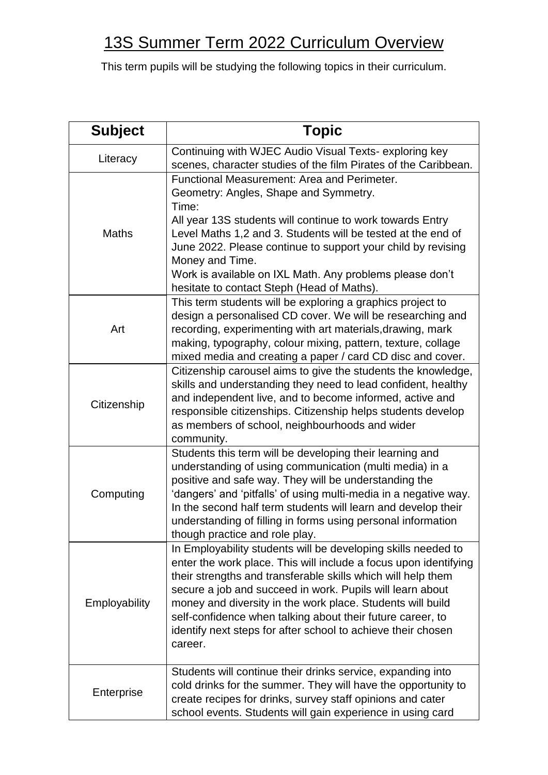## 13S Summer Term 2022 Curriculum Overview

This term pupils will be studying the following topics in their curriculum.

| <b>Subject</b> | <b>Topic</b>                                                                                                                                                                                                                                                                                                                                                                                                                                                          |
|----------------|-----------------------------------------------------------------------------------------------------------------------------------------------------------------------------------------------------------------------------------------------------------------------------------------------------------------------------------------------------------------------------------------------------------------------------------------------------------------------|
| Literacy       | Continuing with WJEC Audio Visual Texts- exploring key<br>scenes, character studies of the film Pirates of the Caribbean.                                                                                                                                                                                                                                                                                                                                             |
| <b>Maths</b>   | Functional Measurement: Area and Perimeter.<br>Geometry: Angles, Shape and Symmetry.<br>Time:<br>All year 13S students will continue to work towards Entry<br>Level Maths 1,2 and 3. Students will be tested at the end of<br>June 2022. Please continue to support your child by revising<br>Money and Time.<br>Work is available on IXL Math. Any problems please don't<br>hesitate to contact Steph (Head of Maths).                                               |
| Art            | This term students will be exploring a graphics project to<br>design a personalised CD cover. We will be researching and<br>recording, experimenting with art materials, drawing, mark<br>making, typography, colour mixing, pattern, texture, collage<br>mixed media and creating a paper / card CD disc and cover.                                                                                                                                                  |
| Citizenship    | Citizenship carousel aims to give the students the knowledge,<br>skills and understanding they need to lead confident, healthy<br>and independent live, and to become informed, active and<br>responsible citizenships. Citizenship helps students develop<br>as members of school, neighbourhoods and wider<br>community.                                                                                                                                            |
| Computing      | Students this term will be developing their learning and<br>understanding of using communication (multi media) in a<br>positive and safe way. They will be understanding the<br>'dangers' and 'pitfalls' of using multi-media in a negative way.<br>In the second half term students will learn and develop their<br>understanding of filling in forms using personal information<br>though practice and role play.                                                   |
| Employability  | In Employability students will be developing skills needed to<br>enter the work place. This will include a focus upon identifying<br>their strengths and transferable skills which will help them<br>secure a job and succeed in work. Pupils will learn about<br>money and diversity in the work place. Students will build<br>self-confidence when talking about their future career, to<br>identify next steps for after school to achieve their chosen<br>career. |
| Enterprise     | Students will continue their drinks service, expanding into<br>cold drinks for the summer. They will have the opportunity to<br>create recipes for drinks, survey staff opinions and cater<br>school events. Students will gain experience in using card                                                                                                                                                                                                              |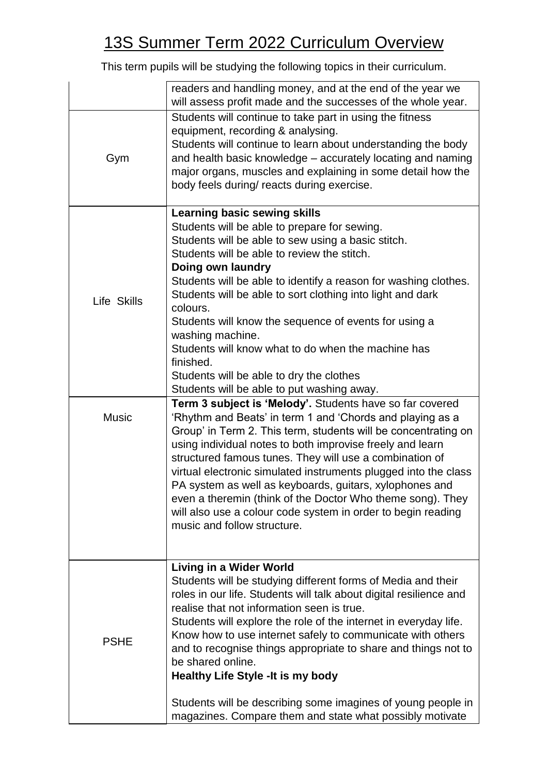## 13S Summer Term 2022 Curriculum Overview

This term pupils will be studying the following topics in their curriculum.

|              | readers and handling money, and at the end of the year we<br>will assess profit made and the successes of the whole year.                                                                                                                                                                                                                                                                                                                                                                                                                                                                                                                                        |
|--------------|------------------------------------------------------------------------------------------------------------------------------------------------------------------------------------------------------------------------------------------------------------------------------------------------------------------------------------------------------------------------------------------------------------------------------------------------------------------------------------------------------------------------------------------------------------------------------------------------------------------------------------------------------------------|
| Gym          | Students will continue to take part in using the fitness<br>equipment, recording & analysing.<br>Students will continue to learn about understanding the body<br>and health basic knowledge – accurately locating and naming<br>major organs, muscles and explaining in some detail how the<br>body feels during/ reacts during exercise.                                                                                                                                                                                                                                                                                                                        |
| Life Skills  | <b>Learning basic sewing skills</b><br>Students will be able to prepare for sewing.<br>Students will be able to sew using a basic stitch.<br>Students will be able to review the stitch.<br>Doing own laundry<br>Students will be able to identify a reason for washing clothes.<br>Students will be able to sort clothing into light and dark<br>colours.<br>Students will know the sequence of events for using a<br>washing machine.<br>Students will know what to do when the machine has<br>finished.<br>Students will be able to dry the clothes<br>Students will be able to put washing away.<br>Term 3 subject is 'Melody'. Students have so far covered |
| <b>Music</b> | 'Rhythm and Beats' in term 1 and 'Chords and playing as a<br>Group' in Term 2. This term, students will be concentrating on<br>using individual notes to both improvise freely and learn<br>structured famous tunes. They will use a combination of<br>virtual electronic simulated instruments plugged into the class<br>PA system as well as keyboards, guitars, xylophones and<br>even a theremin (think of the Doctor Who theme song). They<br>will also use a colour code system in order to begin reading<br>music and follow structure.                                                                                                                   |
| <b>PSHE</b>  | Living in a Wider World<br>Students will be studying different forms of Media and their<br>roles in our life. Students will talk about digital resilience and<br>realise that not information seen is true.<br>Students will explore the role of the internet in everyday life.<br>Know how to use internet safely to communicate with others<br>and to recognise things appropriate to share and things not to<br>be shared online.<br><b>Healthy Life Style - It is my body</b><br>Students will be describing some imagines of young people in<br>magazines. Compare them and state what possibly motivate                                                    |